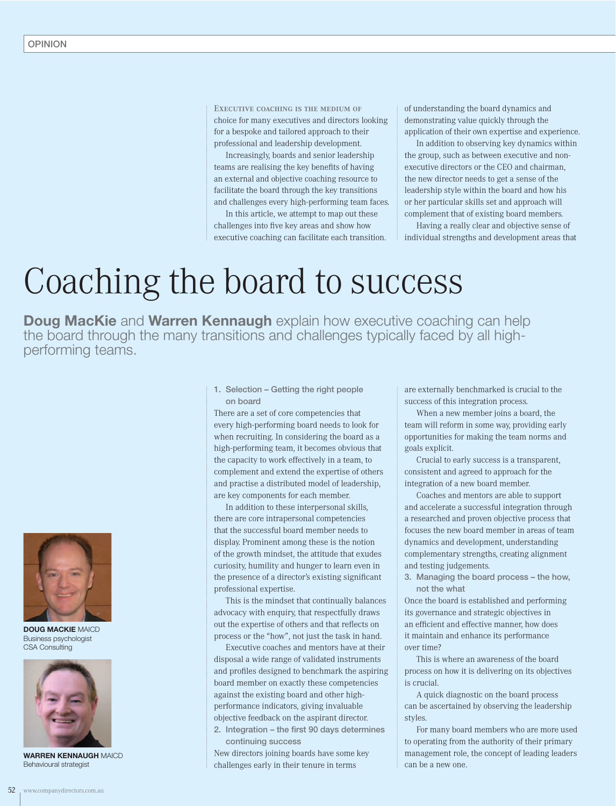EXECUTIVE COACHING IS THE MEDIUM OF choice for many executives and directors looking for a bespoke and tailored approach to their professional and leadership development.

Increasingly, boards and senior leadership teams are realising the key benefits of having an external and objective coaching resource to facilitate the board through the key transitions and challenges every high-performing team faces.

In this article, we attempt to map out these challenges into five key areas and show how executive coaching can facilitate each transition. of understanding the board dynamics and demonstrating value quickly through the application of their own expertise and experience.

In addition to observing key dynamics within the group, such as between executive and nonexecutive directors or the CEO and chairman, the new director needs to get a sense of the leadership style within the board and how his or her particular skills set and approach will complement that of existing board members.

Having a really clear and objective sense of individual strengths and development areas that

## Coaching the board to success

**Doug MacKie** and **Warren Kennaugh** explain how executive coaching can help the board through the many transitions and challenges typically faced by all highperforming teams.



DOUG MACKIE MAICD Business psychologist CSA Consulting



WARREN KENNAUGH MAICD Behavioural strategist

1. Selection – Getting the right people on board

There are a set of core competencies that every high-performing board needs to look for when recruiting. In considering the board as a high-performing team, it becomes obvious that the capacity to work effectively in a team, to complement and extend the expertise of others and practise a distributed model of leadership, are key components for each member.

In addition to these interpersonal skills, there are core intrapersonal competencies that the successful board member needs to display. Prominent among these is the notion of the growth mindset, the attitude that exudes curiosity, humility and hunger to learn even in the presence of a director's existing significant professional expertise.

This is the mindset that continually balances advocacy with enquiry, that respectfully draws out the expertise of others and that reflects on process or the "how", not just the task in hand.

Executive coaches and mentors have at their disposal a wide range of validated instruments and profiles designed to benchmark the aspiring board member on exactly these competencies against the existing board and other highperformance indicators, giving invaluable objective feedback on the aspirant director. 2. Integration  $-$  the first 90 days determines continuing success

New directors joining boards have some key challenges early in their tenure in terms

are externally benchmarked is crucial to the success of this integration process.

When a new member joins a board, the team will reform in some way, providing early opportunities for making the team norms and goals explicit.

Crucial to early success is a transparent, consistent and agreed to approach for the integration of a new board member.

Coaches and mentors are able to support and accelerate a successful integration through a researched and proven objective process that focuses the new board member in areas of team dynamics and development, understanding complementary strengths, creating alignment and testing judgements.

3. Managing the board process – the how, not the what

Once the board is established and performing its governance and strategic objectives in an efficient and effective manner, how does it maintain and enhance its performance over time?

This is where an awareness of the board process on how it is delivering on its objectives is crucial.

A quick diagnostic on the board process can be ascertained by observing the leadership styles.

For many board members who are more used to operating from the authority of their primary management role, the concept of leading leaders can be a new one.